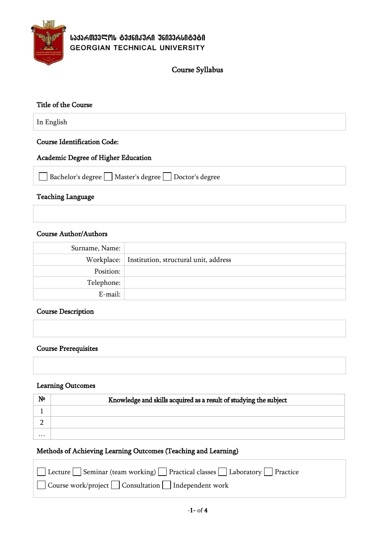

## Course Syllabus

# Title of the Course In English Course Identification Code:

## Academic Degree of Higher Education

| Bachelor's degree Master's degree Doctor's degree |
|---------------------------------------------------|
|---------------------------------------------------|

### Teaching Language

## Course Author/Authors

| Surname, Name: |                                                    |
|----------------|----------------------------------------------------|
|                | Workplace:   Institution, structural unit, address |
| Position:      |                                                    |
| Telephone:     |                                                    |
| E-mail:        |                                                    |

#### Course Description

## Course Prerequisites

#### Learning Outcomes

| N <sup>o</sup> | Knowledge and skills acquired as a result of studying the subject |
|----------------|-------------------------------------------------------------------|
|                |                                                                   |
|                |                                                                   |
| $\cdots$       |                                                                   |

## Methods of Achieving Learning Outcomes (Teaching and Learning)

| $\Box$ Lecture $\Box$ Seminar (team working) $\Box$ Practical classes $\Box$ Laboratory $\Box$ Practice |  |
|---------------------------------------------------------------------------------------------------------|--|
| $\Box$ Course work/project $\Box$ Consultation $\Box$ Independent work                                  |  |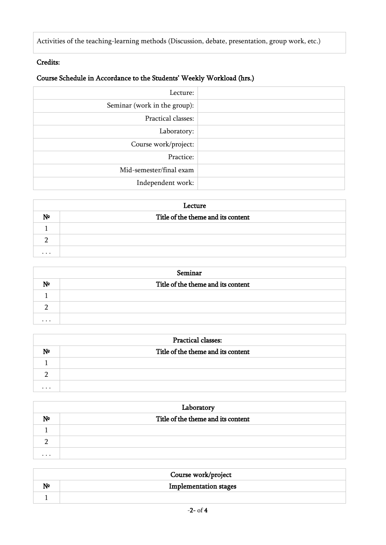Activities of the teaching-learning methods (Discussion, debate, presentation, group work, etc.)

# Credits:

# Course Schedule in Accordance to the Students' Weekly Workload (hrs.)

| Lecture:                     |  |
|------------------------------|--|
| Seminar (work in the group): |  |
| Practical classes:           |  |
| Laboratory:                  |  |
| Course work/project:         |  |
| Practice:                    |  |
| Mid-semester/final exam      |  |
| Independent work:            |  |

| Lecture        |                                    |
|----------------|------------------------------------|
| N <sub>2</sub> | Title of the theme and its content |
|                |                                    |
|                |                                    |
| $\cdots$       |                                    |

| Seminar        |                                    |
|----------------|------------------------------------|
| N <sub>o</sub> | Title of the theme and its content |
|                |                                    |
|                |                                    |
| $\cdots$       |                                    |

| <b>Practical classes:</b> |                                    |
|---------------------------|------------------------------------|
| No                        | Title of the theme and its content |
|                           |                                    |
|                           |                                    |
| $\cdots$                  |                                    |

| Laboratory     |                                    |
|----------------|------------------------------------|
| N <sup>o</sup> | Title of the theme and its content |
|                |                                    |
|                |                                    |
| $\cdots$       |                                    |

| Course work/project |                              |
|---------------------|------------------------------|
| N <sup>2</sup>      | <b>Implementation stages</b> |
|                     |                              |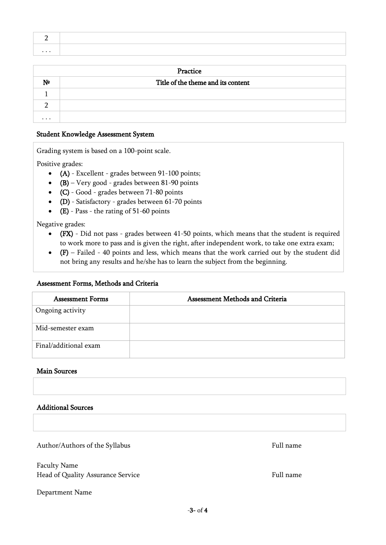| $\ddot{\phantom{1}}$ |  |
|----------------------|--|

| Practice       |                                    |
|----------------|------------------------------------|
| N <sup>o</sup> | Title of the theme and its content |
|                |                                    |
|                |                                    |
| $\cdots$       |                                    |

#### Student Knowledge Assessment System

Grading system is based on a 100-point scale.

Positive grades:

- (A) Excellent grades between 91-100 points;
- (B) Very good grades between 81-90 points
- (C) Good grades between 71-80 points
- (D) Satisfactory grades between 61-70 points
- (E) Pass the rating of 51-60 points

Negative grades:

- (FX) Did not pass grades between 41-50 points, which means that the student is required to work more to pass and is given the right, after independent work, to take one extra exam;
- (F) Failed 40 points and less, which means that the work carried out by the student did not bring any results and he/she has to learn the subject from the beginning.

#### Assessment Forms, Methods and Criteria

| <b>Assessment Forms</b> | <b>Assessment Methods and Criteria</b> |
|-------------------------|----------------------------------------|
| Ongoing activity        |                                        |
| Mid-semester exam       |                                        |
| Final/additional exam   |                                        |

#### Main Sources

#### Additional Sources

Author/Authors of the Syllabus Full name

Faculty Name Head of Quality Assurance Service Full name

Department Name